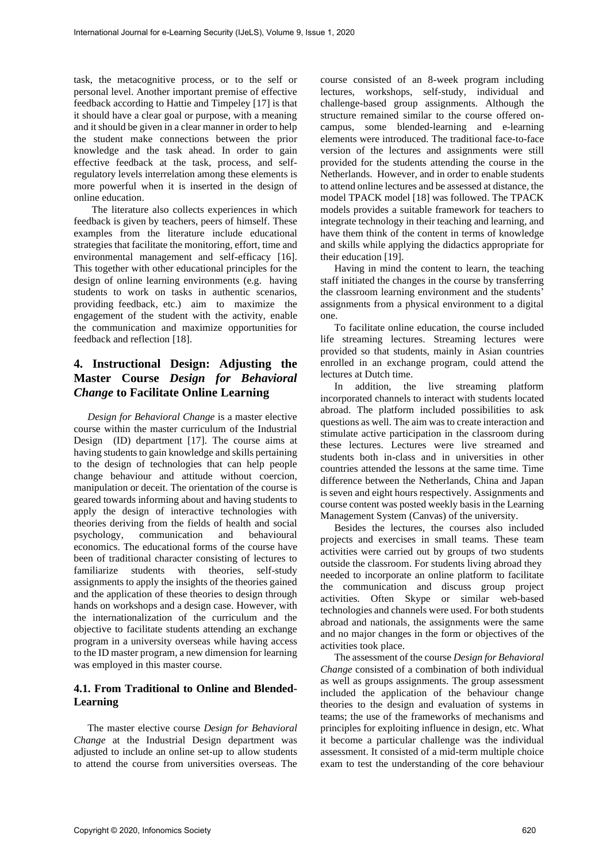task, the metacognitive process, or to the self or personal level. Another important premise of effective feedback according to Hattie and Timpeley [17] is that it should have a clear goal or purpose, with a meaning and it should be given in a clear manner in order to help the student make connections between the prior knowledge and the task ahead. In order to gain effective feedback at the task, process, and selfregulatory levels interrelation among these elements is more powerful when it is inserted in the design of online education.

 The literature also collects experiences in which feedback is given by teachers, peers of himself. These examples from the literature include educational strategies that facilitate the monitoring, effort, time and environmental management and self-efficacy [16]. This together with other educational principles for the design of online learning environments (e.g. having students to work on tasks in authentic scenarios, providing feedback, etc.) aim to maximize the engagement of the student with the activity, enable the communication and maximize opportunities for feedback and reflection [18].

# **4. Instructional Design: Adjusting the Master Course** *Design for Behavioral Change* **to Facilitate Online Learning**

*Design for Behavioral Change* is a master elective course within the master curriculum of the Industrial Design (ID) department [17]. The course aims at having students to gain knowledge and skills pertaining to the design of technologies that can help people change behaviour and attitude without coercion, manipulation or deceit. The orientation of the course is geared towards informing about and having students to apply the design of interactive technologies with theories deriving from the fields of health and social psychology, communication and behavioural economics. The educational forms of the course have been of traditional character consisting of lectures to familiarize students with theories, self-study assignments to apply the insights of the theories gained and the application of these theories to design through hands on workshops and a design case. However, with the internationalization of the curriculum and the objective to facilitate students attending an exchange program in a university overseas while having access to the ID master program, a new dimension for learning was employed in this master course.

## **4.1. From Traditional to Online and Blended-Learning**

The master elective course *Design for Behavioral Change* at the Industrial Design department was adjusted to include an online set-up to allow students to attend the course from universities overseas. The

course consisted of an 8-week program including lectures, workshops, self-study, individual and challenge-based group assignments. Although the structure remained similar to the course offered oncampus, some blended-learning and e-learning elements were introduced. The traditional face-to-face version of the lectures and assignments were still provided for the students attending the course in the Netherlands. However, and in order to enable students to attend online lectures and be assessed at distance, the model TPACK model [18] was followed. The TPACK models provides a suitable framework for teachers to integrate technology in their teaching and learning, and have them think of the content in terms of knowledge and skills while applying the didactics appropriate for their education [19].

Having in mind the content to learn, the teaching staff initiated the changes in the course by transferring the classroom learning environment and the students' assignments from a physical environment to a digital one.

To facilitate online education, the course included life streaming lectures. Streaming lectures were provided so that students, mainly in Asian countries enrolled in an exchange program, could attend the lectures at Dutch time.

In addition, the live streaming platform incorporated channels to interact with students located abroad. The platform included possibilities to ask questions as well. The aim was to create interaction and stimulate active participation in the classroom during these lectures. Lectures were live streamed and students both in-class and in universities in other countries attended the lessons at the same time. Time difference between the Netherlands, China and Japan is seven and eight hours respectively. Assignments and course content was posted weekly basis in the Learning Management System (Canvas) of the university.

Besides the lectures, the courses also included projects and exercises in small teams. These team activities were carried out by groups of two students outside the classroom. For students living abroad they needed to incorporate an online platform to facilitate the communication and discuss group project activities. Often Skype or similar web-based technologies and channels were used. For both students abroad and nationals, the assignments were the same and no major changes in the form or objectives of the activities took place.

The assessment of the course *Design for Behavioral Change* consisted of a combination of both individual as well as groups assignments. The group assessment included the application of the behaviour change theories to the design and evaluation of systems in teams; the use of the frameworks of mechanisms and principles for exploiting influence in design, etc. What it become a particular challenge was the individual assessment. It consisted of a mid-term multiple choice exam to test the understanding of the core behaviour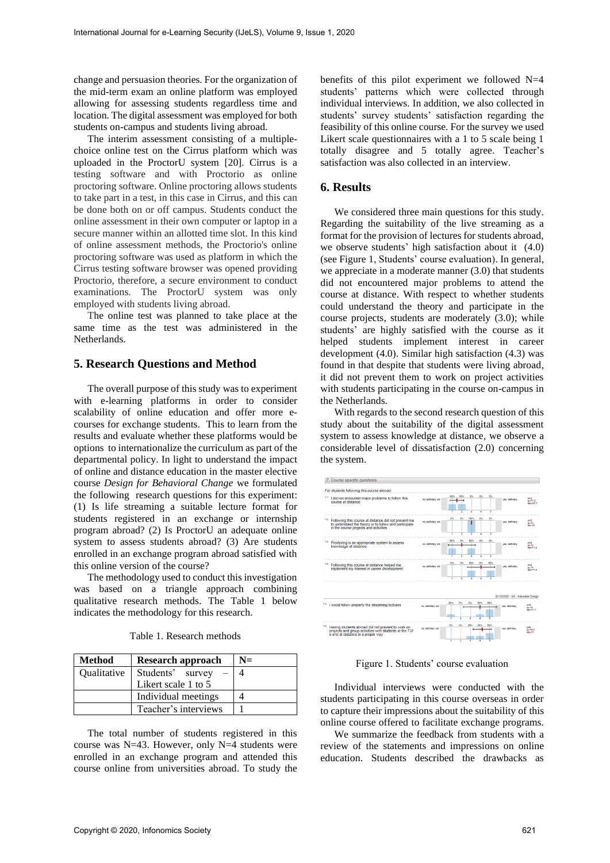change and persuasion theories. For the organization of the mid-term exam an online platform was employed allowing for assessing students regardless time and location. The digital assessment was employed for both students on-campus and students living abroad.

The interim assessment consisting of a multiplechoice online test on the Cirrus platform which was uploaded in the ProctorU system [20]. Cirrus is a testing software and with Proctorio as online proctoring software. Online proctoring allows students to take part in a test, in this case in Cirrus, and this can be done both on or off campus. Students conduct the online assessment in their own computer or laptop in a secure manner within an allotted time slot. In this kind of online assessment methods, the Proctorio's online proctoring software was used as platform in which the Cirrus testing software browser was opened providing Proctorio, therefore, a secure environment to conduct examinations. The ProctorU system was only employed with students living abroad.

The online test was planned to take place at the same time as the test was administered in the Netherlands.

### **5. Research Questions and Method**

The overall purpose of this study was to experiment with e-learning platforms in order to consider scalability of online education and offer more ecourses for exchange students. This to learn from the results and evaluate whether these platforms would be options to internationalize the curriculum as part of the departmental policy. In light to understand the impact of online and distance education in the master elective course *Design for Behavioral Change* we formulated the following research questions for this experiment: (1) Is life streaming a suitable lecture format for students registered in an exchange or internship program abroad? (2) Is ProctorU an adequate online system to assess students abroad? (3) Are students enrolled in an exchange program abroad satisfied with this online version of the course?

The methodology used to conduct this investigation was based on a triangle approach combining qualitative research methods. The Table 1 below indicates the methodology for this research.

| <b>Method</b>      | Research approach    | $N =$ |
|--------------------|----------------------|-------|
| <b>Oualitative</b> | Students' survey     |       |
|                    | Likert scale 1 to 5  |       |
|                    | Individual meetings  |       |
|                    | Teacher's interviews |       |

The total number of students registered in this course was N=43. However, only N=4 students were enrolled in an exchange program and attended this course online from universities abroad. To study the benefits of this pilot experiment we followed N=4 students' patterns which were collected through individual interviews. In addition, we also collected in students' survey students' satisfaction regarding the feasibility of this online course. For the survey we used Likert scale questionnaires with a 1 to 5 scale being 1 totally disagree and 5 totally agree. Teacher's satisfaction was also collected in an interview.

#### **6. Results**

We considered three main questions for this study. Regarding the suitability of the live streaming as a format for the provision of lectures for students abroad, we observe students' high satisfaction about it (4.0) (see Figure 1, Students' course evaluation). In general, we appreciate in a moderate manner (3.0) that students did not encountered major problems to attend the course at distance. With respect to whether students could understand the theory and participate in the course projects, students are moderately (3.0); while students' are highly satisfied with the course as it helped students implement interest in career development (4.0). Similar high satisfaction (4.3) was found in that despite that students were living abroad, it did not prevent them to work on project activities with students participating in the course on-campus in the Netherlands.

With regards to the second research question of this study about the suitability of the digital assessment system to assess knowledge at distance, we observe a considerable level of dissatisfaction (2.0) concerning the system.



Figure 1. Students' course evaluation

Individual interviews were conducted with the students participating in this course overseas in order to capture their impressions about the suitability of this online course offered to facilitate exchange programs.

We summarize the feedback from students with a review of the statements and impressions on online education. Students described the drawbacks as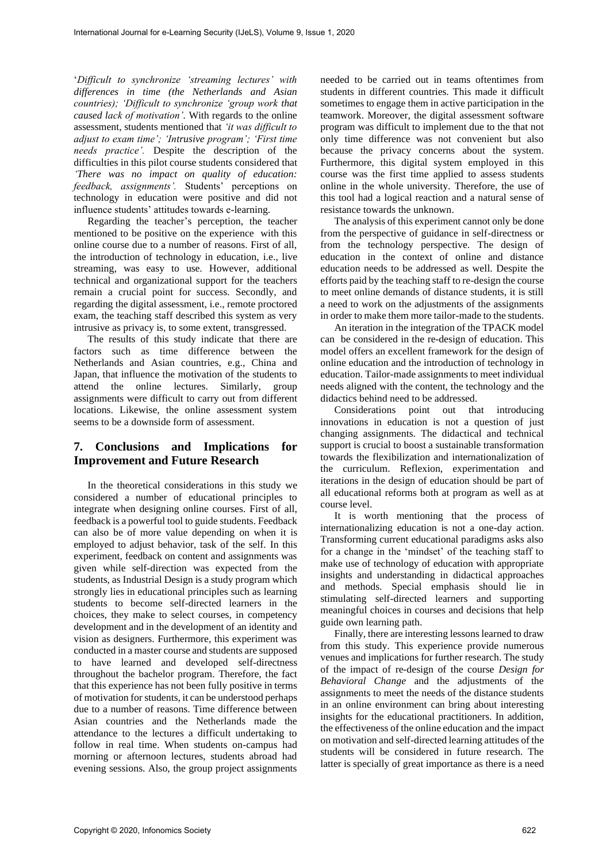'*Difficult to synchronize 'streaming lectures' with differences in time (the Netherlands and Asian countries); 'Difficult to synchronize 'group work that caused lack of motivation'.* With regards to the online assessment, students mentioned that *'it was difficult to adjust to exam time'; 'Intrusive program'; 'First time needs practice'.* Despite the description of the difficulties in this pilot course students considered that *'There was no impact on quality of education: feedback, assignments'.* Students' perceptions on technology in education were positive and did not influence students' attitudes towards e-learning.

Regarding the teacher's perception, the teacher mentioned to be positive on the experience with this online course due to a number of reasons. First of all, the introduction of technology in education, i.e., live streaming, was easy to use. However, additional technical and organizational support for the teachers remain a crucial point for success. Secondly, and regarding the digital assessment, i.e., remote proctored exam, the teaching staff described this system as very intrusive as privacy is, to some extent, transgressed.

The results of this study indicate that there are factors such as time difference between the Netherlands and Asian countries, e.g., China and Japan, that influence the motivation of the students to attend the online lectures. Similarly, group assignments were difficult to carry out from different locations. Likewise, the online assessment system seems to be a downside form of assessment.

# **7. Conclusions and Implications for Improvement and Future Research**

In the theoretical considerations in this study we considered a number of educational principles to integrate when designing online courses. First of all, feedback is a powerful tool to guide students. Feedback can also be of more value depending on when it is employed to adjust behavior, task of the self. In this experiment, feedback on content and assignments was given while self-direction was expected from the students, as Industrial Design is a study program which strongly lies in educational principles such as learning students to become self-directed learners in the choices, they make to select courses, in competency development and in the development of an identity and vision as designers. Furthermore, this experiment was conducted in a master course and students are supposed to have learned and developed self-directness throughout the bachelor program. Therefore, the fact that this experience has not been fully positive in terms of motivation for students, it can be understood perhaps due to a number of reasons. Time difference between Asian countries and the Netherlands made the attendance to the lectures a difficult undertaking to follow in real time. When students on-campus had morning or afternoon lectures, students abroad had evening sessions. Also, the group project assignments

needed to be carried out in teams oftentimes from students in different countries. This made it difficult sometimes to engage them in active participation in the teamwork. Moreover, the digital assessment software program was difficult to implement due to the that not only time difference was not convenient but also because the privacy concerns about the system. Furthermore, this digital system employed in this course was the first time applied to assess students online in the whole university. Therefore, the use of this tool had a logical reaction and a natural sense of resistance towards the unknown.

The analysis of this experiment cannot only be done from the perspective of guidance in self-directness or from the technology perspective. The design of education in the context of online and distance education needs to be addressed as well. Despite the efforts paid by the teaching staff to re-design the course to meet online demands of distance students, it is still a need to work on the adjustments of the assignments in order to make them more tailor-made to the students.

An iteration in the integration of the TPACK model can be considered in the re-design of education. This model offers an excellent framework for the design of online education and the introduction of technology in education. Tailor-made assignments to meet individual needs aligned with the content, the technology and the didactics behind need to be addressed.

Considerations point out that introducing innovations in education is not a question of just changing assignments. The didactical and technical support is crucial to boost a sustainable transformation towards the flexibilization and internationalization of the curriculum. Reflexion, experimentation and iterations in the design of education should be part of all educational reforms both at program as well as at course level.

It is worth mentioning that the process of internationalizing education is not a one-day action. Transforming current educational paradigms asks also for a change in the 'mindset' of the teaching staff to make use of technology of education with appropriate insights and understanding in didactical approaches and methods. Special emphasis should lie in stimulating self-directed learners and supporting meaningful choices in courses and decisions that help guide own learning path.

Finally, there are interesting lessons learned to draw from this study. This experience provide numerous venues and implications for further research. The study of the impact of re-design of the course *Design for Behavioral Change* and the adjustments of the assignments to meet the needs of the distance students in an online environment can bring about interesting insights for the educational practitioners. In addition, the effectiveness of the online education and the impact on motivation and self-directed learning attitudes of the students will be considered in future research. The latter is specially of great importance as there is a need